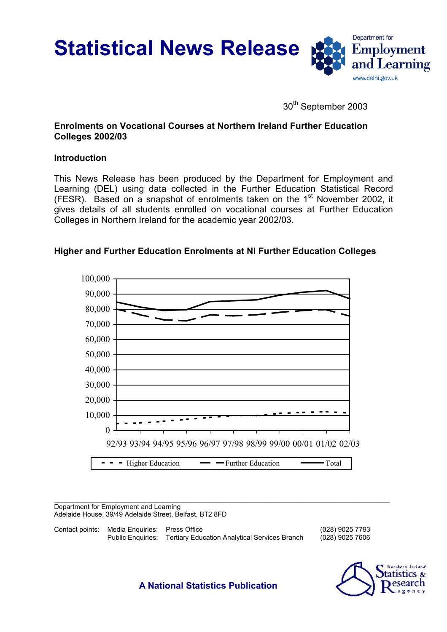**Statistical News Release**



30<sup>th</sup> September 2003

# **Enrolments on Vocational Courses at Northern Ireland Further Education Colleges 2002/03**

# **Introduction**

This News Release has been produced by the Department for Employment and Learning (DEL) using data collected in the Further Education Statistical Record (FESR). Based on a snapshot of enrolments taken on the  $1<sup>st</sup>$  November 2002, it gives details of all students enrolled on vocational courses at Further Education Colleges in Northern Ireland for the academic year 2002/03.



# **Higher and Further Education Enrolments at NI Further Education Colleges**

Department for Employment and Learning Adelaide House, 39/49 Adelaide Street, Belfast, BT2 8FD

| Contact points: Media Enguiries: Press Office |                                                                 | (028) 9025 7793 |
|-----------------------------------------------|-----------------------------------------------------------------|-----------------|
|                                               | Public Enquiries: Tertiary Education Analytical Services Branch | (028) 9025 7606 |



**A National Statistics Publication**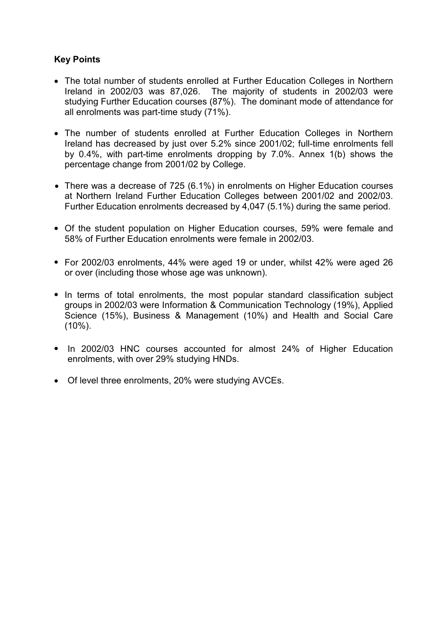# **Key Points**

- The total number of students enrolled at Further Education Colleges in Northern Ireland in 2002/03 was 87,026. The majority of students in 2002/03 were studying Further Education courses (87%). The dominant mode of attendance for all enrolments was part-time study (71%).
- The number of students enrolled at Further Education Colleges in Northern Ireland has decreased by just over 5.2% since 2001/02; full-time enrolments fell by 0.4%, with part-time enrolments dropping by 7.0%. Annex 1(b) shows the percentage change from 2001/02 by College.
- There was a decrease of 725 (6.1%) in enrolments on Higher Education courses at Northern Ireland Further Education Colleges between 2001/02 and 2002/03. Further Education enrolments decreased by 4,047 (5.1%) during the same period.
- Of the student population on Higher Education courses, 59% were female and 58% of Further Education enrolments were female in 2002/03.
- For 2002/03 enrolments, 44% were aged 19 or under, whilst 42% were aged 26 or over (including those whose age was unknown).
- In terms of total enrolments, the most popular standard classification subject groups in 2002/03 were Information & Communication Technology (19%), Applied Science (15%), Business & Management (10%) and Health and Social Care (10%).
- In 2002/03 HNC courses accounted for almost 24% of Higher Education enrolments, with over 29% studying HNDs.
- Of level three enrolments, 20% were studying AVCEs.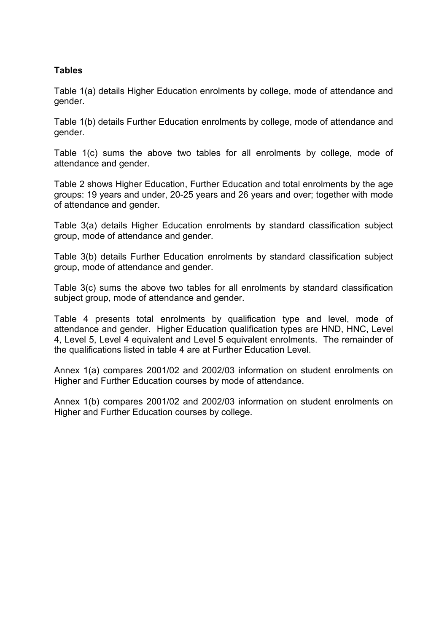# **Tables**

Table 1(a) details Higher Education enrolments by college, mode of attendance and gender.

Table 1(b) details Further Education enrolments by college, mode of attendance and gender.

Table 1(c) sums the above two tables for all enrolments by college, mode of attendance and gender.

Table 2 shows Higher Education, Further Education and total enrolments by the age groups: 19 years and under, 20-25 years and 26 years and over; together with mode of attendance and gender.

Table 3(a) details Higher Education enrolments by standard classification subject group, mode of attendance and gender.

Table 3(b) details Further Education enrolments by standard classification subject group, mode of attendance and gender.

Table 3(c) sums the above two tables for all enrolments by standard classification subject group, mode of attendance and gender.

Table 4 presents total enrolments by qualification type and level, mode of attendance and gender. Higher Education qualification types are HND, HNC, Level 4, Level 5, Level 4 equivalent and Level 5 equivalent enrolments. The remainder of the qualifications listed in table 4 are at Further Education Level.

Annex 1(a) compares 2001/02 and 2002/03 information on student enrolments on Higher and Further Education courses by mode of attendance.

Annex 1(b) compares 2001/02 and 2002/03 information on student enrolments on Higher and Further Education courses by college.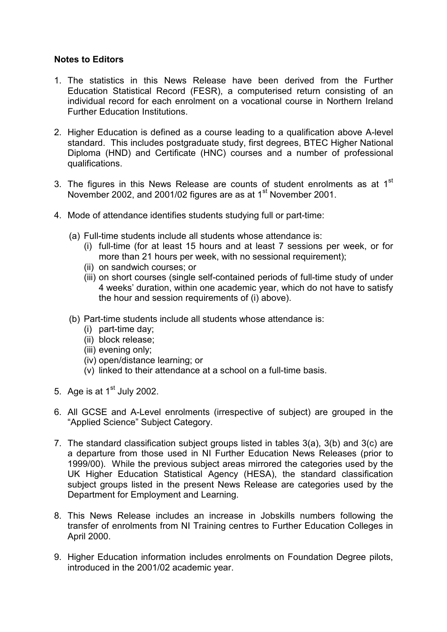## **Notes to Editors**

- 1. The statistics in this News Release have been derived from the Further Education Statistical Record (FESR), a computerised return consisting of an individual record for each enrolment on a vocational course in Northern Ireland Further Education Institutions.
- 2. Higher Education is defined as a course leading to a qualification above A-level standard. This includes postgraduate study, first degrees, BTEC Higher National Diploma (HND) and Certificate (HNC) courses and a number of professional qualifications.
- 3. The figures in this News Release are counts of student enrolments as at  $1<sup>st</sup>$ November 2002, and 2001/02 figures are as at 1<sup>st</sup> November 2001.
- 4. Mode of attendance identifies students studying full or part-time:
	- (a) Full-time students include all students whose attendance is:
		- (i) full-time (for at least 15 hours and at least 7 sessions per week, or for more than 21 hours per week, with no sessional requirement);
		- (ii) on sandwich courses; or
		- (iii) on short courses (single self-contained periods of full-time study of under 4 weeks' duration, within one academic year, which do not have to satisfy the hour and session requirements of (i) above).
	- (b) Part-time students include all students whose attendance is:
		- (i) part-time day;
		- (ii) block release;
		- (iii) evening only;
		- (iv) open/distance learning; or
		- (v) linked to their attendance at a school on a full-time basis.
- 5. Age is at  $1<sup>st</sup>$  July 2002.
- 6. All GCSE and A-Level enrolments (irrespective of subject) are grouped in the "Applied Science" Subject Category.
- 7. The standard classification subject groups listed in tables 3(a), 3(b) and 3(c) are a departure from those used in NI Further Education News Releases (prior to 1999/00). While the previous subject areas mirrored the categories used by the UK Higher Education Statistical Agency (HESA), the standard classification subject groups listed in the present News Release are categories used by the Department for Employment and Learning.
- 8. This News Release includes an increase in Jobskills numbers following the transfer of enrolments from NI Training centres to Further Education Colleges in April 2000.
- 9. Higher Education information includes enrolments on Foundation Degree pilots, introduced in the 2001/02 academic year.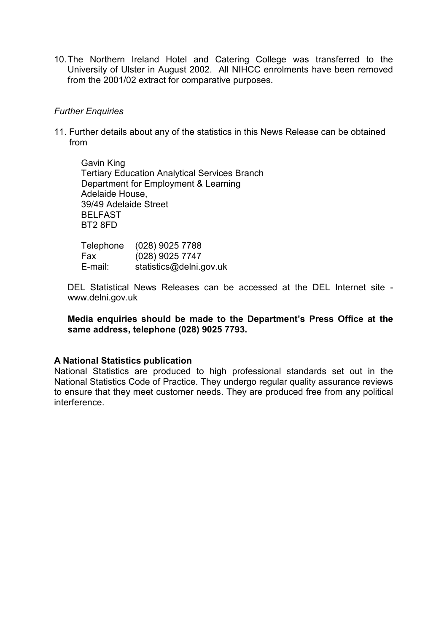10. The Northern Ireland Hotel and Catering College was transferred to the University of Ulster in August 2002. All NIHCC enrolments have been removed from the 2001/02 extract for comparative purposes.

## *Further Enquiries*

11. Further details about any of the statistics in this News Release can be obtained from

Gavin King Tertiary Education Analytical Services Branch Department for Employment & Learning Adelaide House, 39/49 Adelaide Street BELFAST BT2 8FD

| Telephone | $(028)$ 9025 7788       |
|-----------|-------------------------|
| Fax       | $(028)$ 9025 7747       |
| E-mail:   | statistics@delni.gov.uk |

DEL Statistical News Releases can be accessed at the DEL Internet site www.delni.gov.uk

**Media enquiries should be made to the Department's Press Office at the same address, telephone (028) 9025 7793.**

#### **A National Statistics publication**

National Statistics are produced to high professional standards set out in the National Statistics Code of Practice. They undergo regular quality assurance reviews to ensure that they meet customer needs. They are produced free from any political interference.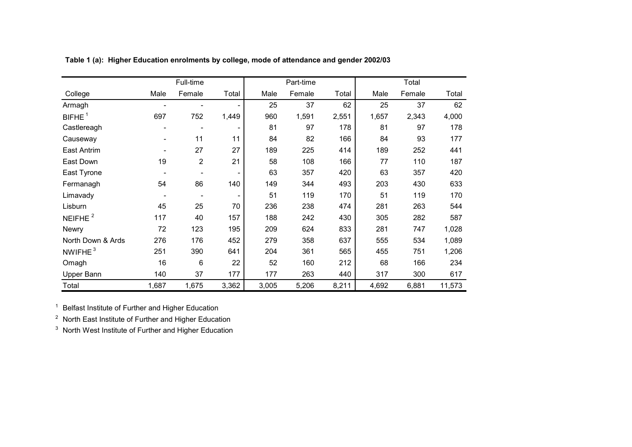|                     |       | Full-time      |       |       | Part-time |       |       | Total  |        |
|---------------------|-------|----------------|-------|-------|-----------|-------|-------|--------|--------|
| College             | Male  | Female         | Total | Male  | Female    | Total | Male  | Female | Total  |
| Armagh              |       |                |       | 25    | 37        | 62    | 25    | 37     | 62     |
| BIFHE <sup>1</sup>  | 697   | 752            | 1,449 | 960   | 1,591     | 2,551 | 1,657 | 2,343  | 4,000  |
| Castlereagh         |       | ٠              |       | 81    | 97        | 178   | 81    | 97     | 178    |
| Causeway            | ۰     | 11             | 11    | 84    | 82        | 166   | 84    | 93     | 177    |
| East Antrim         |       | 27             | 27    | 189   | 225       | 414   | 189   | 252    | 441    |
| East Down           | 19    | $\overline{2}$ | 21    | 58    | 108       | 166   | 77    | 110    | 187    |
| East Tyrone         |       |                |       | 63    | 357       | 420   | 63    | 357    | 420    |
| Fermanagh           | 54    | 86             | 140   | 149   | 344       | 493   | 203   | 430    | 633    |
| Limavady            |       |                |       | 51    | 119       | 170   | 51    | 119    | 170    |
| Lisburn             | 45    | 25             | 70    | 236   | 238       | 474   | 281   | 263    | 544    |
| NEIFHE <sup>2</sup> | 117   | 40             | 157   | 188   | 242       | 430   | 305   | 282    | 587    |
| <b>Newry</b>        | 72    | 123            | 195   | 209   | 624       | 833   | 281   | 747    | 1,028  |
| North Down & Ards   | 276   | 176            | 452   | 279   | 358       | 637   | 555   | 534    | 1,089  |
| NWIFHE <sup>3</sup> | 251   | 390            | 641   | 204   | 361       | 565   | 455   | 751    | 1,206  |
| Omagh               | 16    | 6              | 22    | 52    | 160       | 212   | 68    | 166    | 234    |
| Upper Bann          | 140   | 37             | 177   | 177   | 263       | 440   | 317   | 300    | 617    |
| Total               | 1,687 | 1,675          | 3,362 | 3,005 | 5,206     | 8,211 | 4,692 | 6,881  | 11,573 |

**Table 1 (a): Higher Education enrolments by college, mode of attendance and gender 2002/03**

1Belfast Institute of Further and Higher Education

 $2$  North East Institute of Further and Higher Education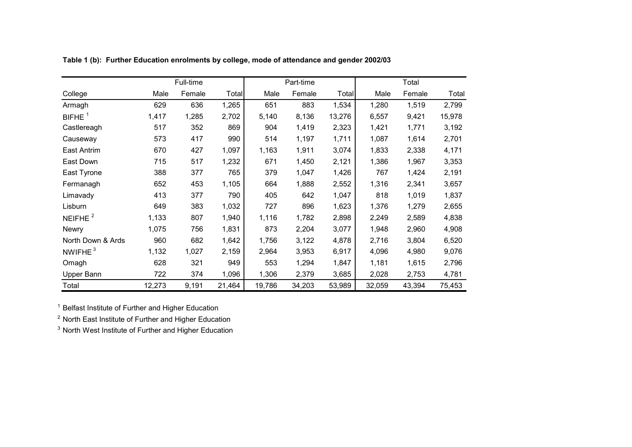|                   |        | Full-time |        |        | Part-time |        |        | Total  |        |
|-------------------|--------|-----------|--------|--------|-----------|--------|--------|--------|--------|
| College           | Male   | Female    | Total  | Male   | Female    | Total  | Male   | Female | Total  |
| Armagh            | 629    | 636       | 1,265  | 651    | 883       | 1,534  | 1,280  | 1,519  | 2,799  |
| BIFHE $1$         | 1,417  | 1,285     | 2,702  | 5,140  | 8,136     | 13,276 | 6,557  | 9,421  | 15,978 |
| Castlereagh       | 517    | 352       | 869    | 904    | 1,419     | 2,323  | 1,421  | 1,771  | 3,192  |
| Causeway          | 573    | 417       | 990    | 514    | 1,197     | 1,711  | 1,087  | 1,614  | 2,701  |
| East Antrim       | 670    | 427       | 1,097  | 1,163  | 1,911     | 3,074  | 1,833  | 2,338  | 4,171  |
| East Down         | 715    | 517       | 1,232  | 671    | 1,450     | 2,121  | 1,386  | 1,967  | 3,353  |
| East Tyrone       | 388    | 377       | 765    | 379    | 1,047     | 1,426  | 767    | 1,424  | 2,191  |
| Fermanagh         | 652    | 453       | 1,105  | 664    | 1,888     | 2,552  | 1,316  | 2,341  | 3,657  |
| Limavady          | 413    | 377       | 790    | 405    | 642       | 1,047  | 818    | 1,019  | 1,837  |
| Lisburn           | 649    | 383       | 1,032  | 727    | 896       | 1,623  | 1,376  | 1,279  | 2,655  |
| NEIFHE $2$        | 1,133  | 807       | 1,940  | 1,116  | 1,782     | 2,898  | 2,249  | 2,589  | 4,838  |
| <b>Newry</b>      | 1,075  | 756       | 1,831  | 873    | 2,204     | 3,077  | 1,948  | 2,960  | 4,908  |
| North Down & Ards | 960    | 682       | 1,642  | 1,756  | 3,122     | 4,878  | 2,716  | 3,804  | 6,520  |
| NWIFHE $3$        | 1,132  | 1,027     | 2,159  | 2,964  | 3,953     | 6,917  | 4,096  | 4,980  | 9,076  |
| Omagh             | 628    | 321       | 949    | 553    | 1,294     | 1,847  | 1,181  | 1,615  | 2,796  |
| Upper Bann        | 722    | 374       | 1,096  | 1,306  | 2,379     | 3,685  | 2,028  | 2,753  | 4,781  |
| Total             | 12,273 | 9,191     | 21,464 | 19,786 | 34,203    | 53,989 | 32,059 | 43,394 | 75,453 |

**Table 1 (b): Further Education enrolments by college, mode of attendance and gender 2002/03**

<sup>1</sup> Belfast Institute of Further and Higher Education

 $2$  North East Institute of Further and Higher Education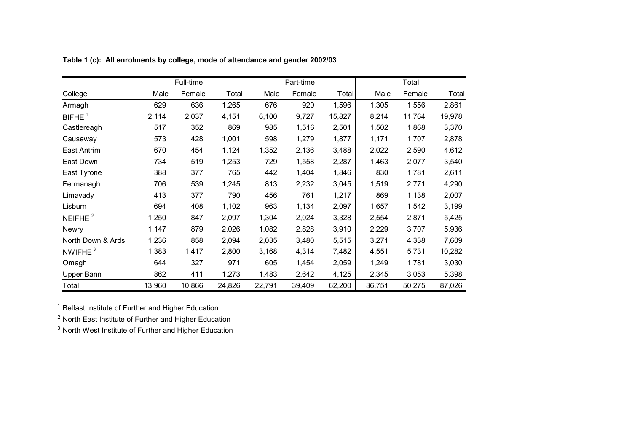|                      |        | Full-time |              |        | Part-time |        |        | Total  |        |
|----------------------|--------|-----------|--------------|--------|-----------|--------|--------|--------|--------|
| College              | Male   | Female    | <b>Total</b> | Male   | Female    | Total  | Male   | Female | Total  |
| Armagh               | 629    | 636       | 1,265        | 676    | 920       | 1,596  | 1,305  | 1,556  | 2,861  |
| $BIFHE$ <sup>1</sup> | 2,114  | 2,037     | 4,151        | 6,100  | 9,727     | 15,827 | 8,214  | 11,764 | 19,978 |
| Castlereagh          | 517    | 352       | 869          | 985    | 1,516     | 2,501  | 1,502  | 1,868  | 3,370  |
| Causeway             | 573    | 428       | 1,001        | 598    | 1,279     | 1,877  | 1,171  | 1,707  | 2,878  |
| East Antrim          | 670    | 454       | 1,124        | 1,352  | 2,136     | 3,488  | 2,022  | 2,590  | 4,612  |
| East Down            | 734    | 519       | 1,253        | 729    | 1,558     | 2,287  | 1,463  | 2,077  | 3,540  |
| East Tyrone          | 388    | 377       | 765          | 442    | 1,404     | 1,846  | 830    | 1,781  | 2,611  |
| Fermanagh            | 706    | 539       | 1,245        | 813    | 2,232     | 3,045  | 1,519  | 2,771  | 4,290  |
| Limavady             | 413    | 377       | 790          | 456    | 761       | 1,217  | 869    | 1,138  | 2,007  |
| Lisburn              | 694    | 408       | 1,102        | 963    | 1,134     | 2,097  | 1,657  | 1,542  | 3,199  |
| NEIFHE $2$           | 1,250  | 847       | 2,097        | 1,304  | 2,024     | 3,328  | 2,554  | 2,871  | 5,425  |
| <b>Newry</b>         | 1,147  | 879       | 2,026        | 1,082  | 2,828     | 3,910  | 2,229  | 3,707  | 5,936  |
| North Down & Ards    | 1,236  | 858       | 2,094        | 2,035  | 3,480     | 5,515  | 3,271  | 4,338  | 7,609  |
| NWIFHE $3$           | 1,383  | 1,417     | 2,800        | 3,168  | 4,314     | 7,482  | 4,551  | 5,731  | 10,282 |
| Omagh                | 644    | 327       | 971          | 605    | 1,454     | 2,059  | 1,249  | 1,781  | 3,030  |
| Upper Bann           | 862    | 411       | 1,273        | 1,483  | 2,642     | 4,125  | 2,345  | 3,053  | 5,398  |
| Total                | 13,960 | 10,866    | 24,826       | 22,791 | 39,409    | 62,200 | 36,751 | 50,275 | 87,026 |

**Table 1 (c): All enrolments by college, mode of attendance and gender 2002/03**

<sup>1</sup> Belfast Institute of Further and Higher Education

 $2$  North East Institute of Further and Higher Education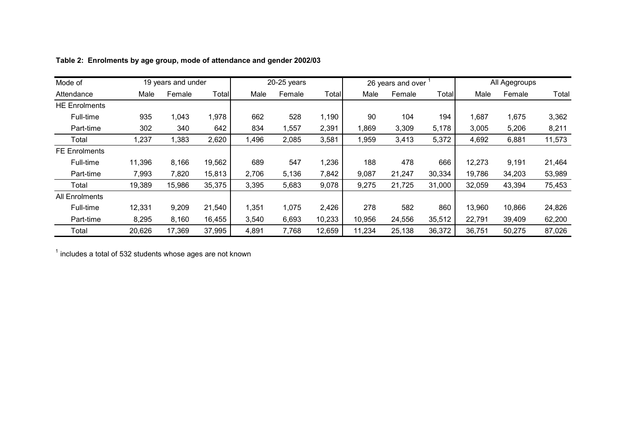| Mode of              |        | 19 years and under |        |       | 20-25 years |        |        | 26 years and over |              |        | All Agegroups |        |
|----------------------|--------|--------------------|--------|-------|-------------|--------|--------|-------------------|--------------|--------|---------------|--------|
| Attendance           | Male   | Female             | Total  | Male  | Female      | Total  | Male   | Female            | <b>Total</b> | Male   | Female        | Total  |
| <b>HE Enrolments</b> |        |                    |        |       |             |        |        |                   |              |        |               |        |
| Full-time            | 935    | 1,043              | 1,978  | 662   | 528         | 1,190  | 90     | 104               | 194          | 1,687  | 1,675         | 3,362  |
| Part-time            | 302    | 340                | 642    | 834   | ,557        | 2,391  | 1,869  | 3,309             | 5,178        | 3,005  | 5,206         | 8,211  |
| Total                | 1,237  | 1,383              | 2,620  | 1,496 | 2,085       | 3,581  | 1,959  | 3,413             | 5,372        | 4,692  | 6,881         | 11,573 |
| <b>FE Enrolments</b> |        |                    |        |       |             |        |        |                   |              |        |               |        |
| Full-time            | 11,396 | 8,166              | 19,562 | 689   | 547         | 1,236  | 188    | 478               | 666          | 12,273 | 9,191         | 21,464 |
| Part-time            | 7,993  | 7,820              | 15,813 | 2,706 | 5,136       | 7,842  | 9,087  | 21,247            | 30,334       | 19,786 | 34,203        | 53,989 |
| Total                | 19,389 | 15,986             | 35,375 | 3,395 | 5,683       | 9,078  | 9,275  | 21,725            | 31,000       | 32,059 | 43,394        | 75,453 |
| All Enrolments       |        |                    |        |       |             |        |        |                   |              |        |               |        |
| Full-time            | 12,331 | 9,209              | 21,540 | 1,351 | 1,075       | 2,426  | 278    | 582               | 860          | 13,960 | 10,866        | 24,826 |
| Part-time            | 8,295  | 8,160              | 16,455 | 3,540 | 6,693       | 10,233 | 10,956 | 24,556            | 35,512       | 22,791 | 39,409        | 62,200 |
| Total                | 20,626 | 17,369             | 37,995 | 4,891 | 7,768       | 12,659 | 11,234 | 25,138            | 36,372       | 36,751 | 50,275        | 87,026 |

### **Table 2: Enrolments by age group, mode of attendance and gender 2002/03**

 $<sup>1</sup>$  includes a total of 532 students whose ages are not known</sup>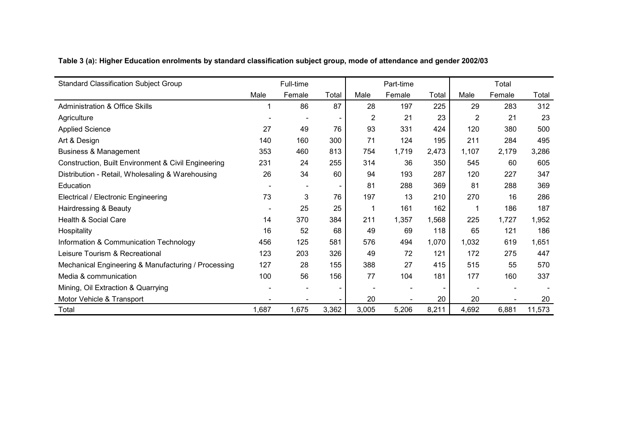| <b>Standard Classification Subject Group</b>        |       | Full-time |       |       | Part-time |                          |                | Total  |        |
|-----------------------------------------------------|-------|-----------|-------|-------|-----------|--------------------------|----------------|--------|--------|
|                                                     | Male  | Female    | Total | Male  | Female    | Total                    | Male           | Female | Total  |
| <b>Administration &amp; Office Skills</b>           |       | 86        | 87    | 28    | 197       | 225                      | 29             | 283    | 312    |
| Agriculture                                         |       |           |       | 2     | 21        | 23                       | $\overline{2}$ | 21     | 23     |
| <b>Applied Science</b>                              | 27    | 49        | 76    | 93    | 331       | 424                      | 120            | 380    | 500    |
| Art & Design                                        | 140   | 160       | 300   | 71    | 124       | 195                      | 211            | 284    | 495    |
| <b>Business &amp; Management</b>                    | 353   | 460       | 813   | 754   | 1,719     | 2,473                    | 1,107          | 2,179  | 3,286  |
| Construction, Built Environment & Civil Engineering | 231   | 24        | 255   | 314   | 36        | 350                      | 545            | 60     | 605    |
| Distribution - Retail, Wholesaling & Warehousing    | 26    | 34        | 60    | 94    | 193       | 287                      | 120            | 227    | 347    |
| Education                                           |       |           |       | 81    | 288       | 369                      | 81             | 288    | 369    |
| Electrical / Electronic Engineering                 | 73    | 3         | 76    | 197   | 13        | 210                      | 270            | 16     | 286    |
| Hairdressing & Beauty                               |       | 25        | 25    |       | 161       | 162                      | 1              | 186    | 187    |
| Health & Social Care                                | 14    | 370       | 384   | 211   | 1,357     | 1,568                    | 225            | 1,727  | 1,952  |
| Hospitality                                         | 16    | 52        | 68    | 49    | 69        | 118                      | 65             | 121    | 186    |
| Information & Communication Technology              | 456   | 125       | 581   | 576   | 494       | 1,070                    | 1,032          | 619    | 1,651  |
| Leisure Tourism & Recreational                      | 123   | 203       | 326   | 49    | 72        | 121                      | 172            | 275    | 447    |
| Mechanical Engineering & Manufacturing / Processing | 127   | 28        | 155   | 388   | 27        | 415                      | 515            | 55     | 570    |
| Media & communication                               | 100   | 56        | 156   | 77    | 104       | 181                      | 177            | 160    | 337    |
| Mining, Oil Extraction & Quarrying                  |       |           |       |       |           | $\overline{\phantom{0}}$ |                |        |        |
| Motor Vehicle & Transport                           |       |           |       | 20    |           | 20                       | 20             |        | 20     |
| Total                                               | 1,687 | 1,675     | 3,362 | 3,005 | 5,206     | 8,211                    | 4,692          | 6,881  | 11,573 |

**Table 3 (a): Higher Education enrolments by standard classification subject group, mode of attendance and gender 2002/03**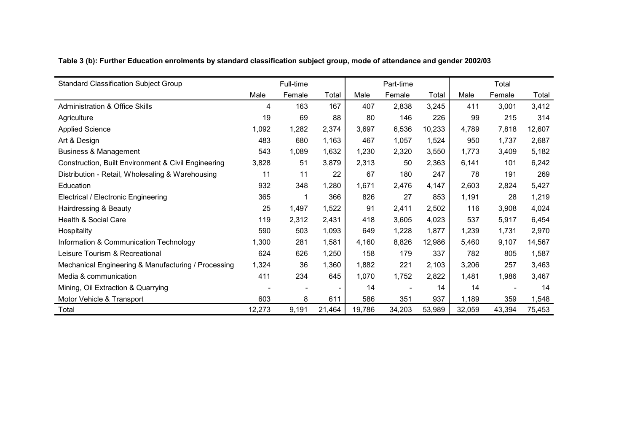| <b>Standard Classification Subject Group</b>        |        | Full-time |                          |        | Part-time |        |        | Total  |        |
|-----------------------------------------------------|--------|-----------|--------------------------|--------|-----------|--------|--------|--------|--------|
|                                                     | Male   | Female    | Total                    | Male   | Female    | Total  | Male   | Female | Total  |
| <b>Administration &amp; Office Skills</b>           | 4      | 163       | 167                      | 407    | 2,838     | 3,245  | 411    | 3,001  | 3,412  |
| Agriculture                                         | 19     | 69        | 88                       | 80     | 146       | 226    | 99     | 215    | 314    |
| <b>Applied Science</b>                              | 1,092  | 1,282     | 2,374                    | 3,697  | 6,536     | 10,233 | 4.789  | 7,818  | 12,607 |
| Art & Design                                        | 483    | 680       | 1,163                    | 467    | 1,057     | 1,524  | 950    | 1.737  | 2,687  |
| <b>Business &amp; Management</b>                    | 543    | 1,089     | 1,632                    | 1,230  | 2,320     | 3,550  | 1,773  | 3,409  | 5,182  |
| Construction, Built Environment & Civil Engineering | 3,828  | 51        | 3,879                    | 2,313  | 50        | 2,363  | 6,141  | 101    | 6,242  |
| Distribution - Retail, Wholesaling & Warehousing    | 11     | 11        | 22                       | 67     | 180       | 247    | 78     | 191    | 269    |
| Education                                           | 932    | 348       | 1,280                    | 1,671  | 2,476     | 4,147  | 2,603  | 2,824  | 5,427  |
| Electrical / Electronic Engineering                 | 365    |           | 366                      | 826    | 27        | 853    | 1,191  | 28     | 1,219  |
| Hairdressing & Beauty                               | 25     | 1,497     | 1,522                    | 91     | 2,411     | 2,502  | 116    | 3,908  | 4,024  |
| Health & Social Care                                | 119    | 2,312     | 2,431                    | 418    | 3,605     | 4,023  | 537    | 5,917  | 6,454  |
| Hospitality                                         | 590    | 503       | 1,093                    | 649    | 1,228     | 1,877  | 1,239  | 1,731  | 2,970  |
| Information & Communication Technology              | 1,300  | 281       | 1,581                    | 4,160  | 8,826     | 12,986 | 5,460  | 9,107  | 14,567 |
| Leisure Tourism & Recreational                      | 624    | 626       | 1,250                    | 158    | 179       | 337    | 782    | 805    | 1,587  |
| Mechanical Engineering & Manufacturing / Processing | 1,324  | 36        | 1,360                    | 1,882  | 221       | 2,103  | 3,206  | 257    | 3,463  |
| Media & communication                               | 411    | 234       | 645                      | 1,070  | 1,752     | 2,822  | 1,481  | 1,986  | 3,467  |
| Mining, Oil Extraction & Quarrying                  |        |           | $\overline{\phantom{a}}$ | 14     |           | 14     | 14     |        | 14     |
| Motor Vehicle & Transport                           | 603    | 8         | 611                      | 586    | 351       | 937    | 1,189  | 359    | 1,548  |
| Total                                               | 12,273 | 9,191     | 21,464                   | 19,786 | 34,203    | 53,989 | 32,059 | 43,394 | 75,453 |

**Table 3 (b): Further Education enrolments by standard classification subject group, mode of attendance and gender 2002/03**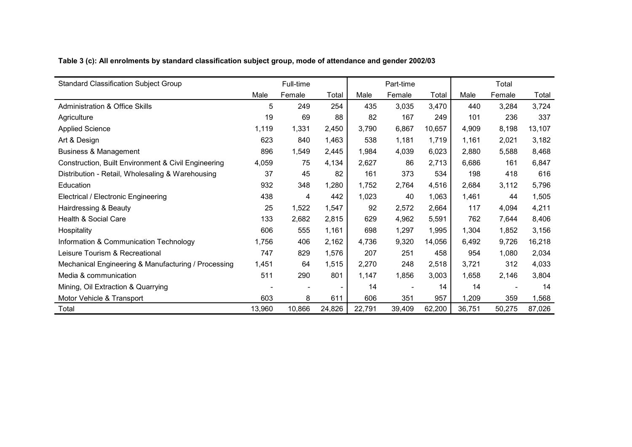|  | Table 3 (c): All enrolments by standard classification subject group, mode of attendance and gender 2002/03 |
|--|-------------------------------------------------------------------------------------------------------------|
|  |                                                                                                             |

| <b>Standard Classification Subject Group</b>        |        | Full-time |        |        | Part-time |        |        | Total  |        |
|-----------------------------------------------------|--------|-----------|--------|--------|-----------|--------|--------|--------|--------|
|                                                     | Male   | Female    | Total  | Male   | Female    | Total  | Male   | Female | Total  |
| <b>Administration &amp; Office Skills</b>           | 5      | 249       | 254    | 435    | 3,035     | 3,470  | 440    | 3,284  | 3,724  |
| Agriculture                                         | 19     | 69        | 88     | 82     | 167       | 249    | 101    | 236    | 337    |
| <b>Applied Science</b>                              | 1,119  | 1,331     | 2,450  | 3,790  | 6,867     | 10,657 | 4,909  | 8,198  | 13,107 |
| Art & Design                                        | 623    | 840       | 1,463  | 538    | 1,181     | 1,719  | 1,161  | 2,021  | 3,182  |
| <b>Business &amp; Management</b>                    | 896    | 1,549     | 2,445  | 1,984  | 4,039     | 6,023  | 2,880  | 5,588  | 8,468  |
| Construction, Built Environment & Civil Engineering | 4,059  | 75        | 4,134  | 2,627  | 86        | 2,713  | 6,686  | 161    | 6,847  |
| Distribution - Retail, Wholesaling & Warehousing    | 37     | 45        | 82     | 161    | 373       | 534    | 198    | 418    | 616    |
| Education                                           | 932    | 348       | 1,280  | 1,752  | 2,764     | 4,516  | 2,684  | 3,112  | 5,796  |
| Electrical / Electronic Engineering                 | 438    | 4         | 442    | 1,023  | 40        | 1,063  | 1,461  | 44     | 1,505  |
| Hairdressing & Beauty                               | 25     | 1,522     | 1,547  | 92     | 2,572     | 2,664  | 117    | 4,094  | 4,211  |
| Health & Social Care                                | 133    | 2,682     | 2,815  | 629    | 4,962     | 5,591  | 762    | 7,644  | 8,406  |
| Hospitality                                         | 606    | 555       | 1,161  | 698    | 1,297     | 1,995  | 1,304  | 1,852  | 3,156  |
| Information & Communication Technology              | 1,756  | 406       | 2,162  | 4,736  | 9,320     | 14,056 | 6,492  | 9,726  | 16,218 |
| Leisure Tourism & Recreational                      | 747    | 829       | 1,576  | 207    | 251       | 458    | 954    | 1,080  | 2,034  |
| Mechanical Engineering & Manufacturing / Processing | 1,451  | 64        | 1,515  | 2,270  | 248       | 2,518  | 3,721  | 312    | 4,033  |
| Media & communication                               | 511    | 290       | 801    | 1,147  | 1,856     | 3,003  | 1,658  | 2,146  | 3,804  |
| Mining, Oil Extraction & Quarrying                  |        |           |        | 14     |           | 14     | 14     |        | 14     |
| Motor Vehicle & Transport                           | 603    | 8         | 611    | 606    | 351       | 957    | 1,209  | 359    | 1,568  |
| Total                                               | 13,960 | 10,866    | 24,826 | 22,791 | 39,409    | 62,200 | 36,751 | 50,275 | 87,026 |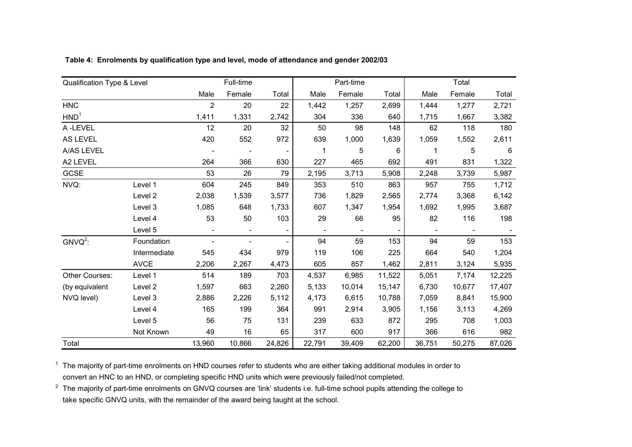| Qualification Type & Level |                    |                | Full-time                |        |                          | Part-time      |                |        | Total  |        |
|----------------------------|--------------------|----------------|--------------------------|--------|--------------------------|----------------|----------------|--------|--------|--------|
|                            |                    | Male           | Female                   | Total  | Male                     | Female         | Total          | Male   | Female | Total  |
| <b>HNC</b>                 |                    | $\overline{2}$ | 20                       | 22     | 1,442                    | 1,257          | 2,699          | 1,444  | 1,277  | 2,721  |
| HND <sup>1</sup>           |                    | 1,411          | 1,331                    | 2,742  | 304                      | 336            | 640            | 1,715  | 1,667  | 3,382  |
| A-LEVEL                    |                    | 12             | 20                       | 32     | 50                       | 98             | 148            | 62     | 118    | 180    |
| AS LEVEL                   |                    | 420            | 552                      | 972    | 639                      | 1,000          | 1,639          | 1,059  | 1,552  | 2,611  |
| A/AS LEVEL                 |                    |                |                          |        | 1                        | 5              | 6              | 1      | 5      | 6      |
| A2 LEVEL                   |                    | 264            | 366                      | 630    | 227                      | 465            | 692            | 491    | 831    | 1,322  |
| GCSE                       |                    | 53             | 26                       | 79     | 2,195                    | 3,713          | 5,908          | 2,248  | 3,739  | 5,987  |
| NVQ:                       | Level 1            | 604            | 245                      | 849    | 353                      | 510            | 863            | 957    | 755    | 1,712  |
|                            | Level <sub>2</sub> | 2,038          | 1,539                    | 3,577  | 736                      | 1,829          | 2,565          | 2,774  | 3,368  | 6,142  |
|                            | Level 3            | 1,085          | 648                      | 1,733  | 607                      | 1,347          | 1,954          | 1,692  | 1,995  | 3,687  |
|                            | Level 4            | 53             | 50                       | 103    | 29                       | 66             | 95             | 82     | 116    | 198    |
|                            | Level 5            |                | $\overline{\phantom{a}}$ |        | $\overline{\phantom{a}}$ | $\blacksquare$ | $\blacksquare$ |        |        |        |
| $GNVO2$ :                  | Foundation         |                |                          |        | 94                       | 59             | 153            | 94     | 59     | 153    |
|                            | Intermediate       | 545            | 434                      | 979    | 119                      | 106            | 225            | 664    | 540    | 1,204  |
|                            | <b>AVCE</b>        | 2,206          | 2,267                    | 4,473  | 605                      | 857            | 1,462          | 2,811  | 3,124  | 5,935  |
| Other Courses:             | Level 1            | 514            | 189                      | 703    | 4,537                    | 6,985          | 11,522         | 5,051  | 7,174  | 12,225 |
| (by equivalent             | Level 2            | 1,597          | 663                      | 2,260  | 5,133                    | 10,014         | 15,147         | 6,730  | 10,677 | 17,407 |
| NVQ level)                 | Level 3            | 2,886          | 2,226                    | 5,112  | 4,173                    | 6,615          | 10,788         | 7,059  | 8,841  | 15,900 |
|                            | Level 4            | 165            | 199                      | 364    | 991                      | 2,914          | 3,905          | 1,156  | 3,113  | 4,269  |
|                            | Level 5            | 56             | 75                       | 131    | 239                      | 633            | 872            | 295    | 708    | 1,003  |
|                            | Not Known          | 49             | 16                       | 65     | 317                      | 600            | 917            | 366    | 616    | 982    |
| Total                      |                    | 13,960         | 10,866                   | 24,826 | 22,791                   | 39,409         | 62,200         | 36,751 | 50,275 | 87,026 |

**Table 4: Enrolments by qualification type and level, mode of attendance and gender 2002/03**

 $^1$  The majority of part-time enrolments on HND courses refer to students who are either taking additional modules in order to convert an HNC to an HND, or completing specific HND units which were previously failed/not completed.

 $^2$  The majority of part-time enrolments on GNVQ courses are 'link' students i.e. full-time school pupils attending the college to take specific GNVQ units, with the remainder of the award being taught at the school.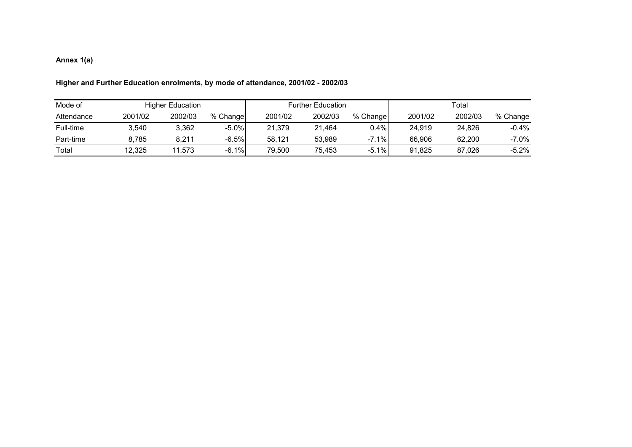### **Annex 1(a)**

| Mode of    |         | <b>Higher Education</b> |          |         | <b>Further Education</b> |          | Total   |         |          |  |
|------------|---------|-------------------------|----------|---------|--------------------------|----------|---------|---------|----------|--|
| Attendance | 2001/02 | 2002/03                 | % Change | 2001/02 | 2002/03                  | % Change | 2001/02 | 2002/03 | % Change |  |
| Full-time  | 3.540   | 3,362                   | $-5.0\%$ | 21.379  | 21.464                   | 0.4%     | 24,919  | 24.826  | $-0.4%$  |  |
| Part-time  | 8.785   | 8.211                   | $-6.5%$  | 58.121  | 53.989                   | $-7.1%$  | 66.906  | 62.200  | $-7.0%$  |  |
| Total      | 12,325  | 11,573                  | $-6.1%$  | 79.500  | 75,453                   | $-5.1%$  | 91,825  | 87,026  | $-5.2%$  |  |

### **Higher and Further Education enrolments, by mode of attendance, 2001/02 - 2002/03**